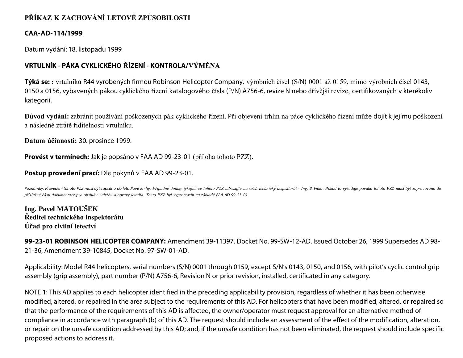## **PŘÍKAZ K ZACHOVÁNÍ LETOVÉ ZPŮSOBILOSTI**

### **CAA-AD-114/1999**

Datum vydání: 18. listopadu 1999

# **VRTULNÍK - PÁKA CYKLICKÉHO ŘÍZENÍ - KONTROLA/VÝMĚNA**

**Týká se: :** vrtulníků R44 vyrobených firmou Robinson Helicopter Company, výrobních čísel (S/N) 0001 až 0159, mimo výrobních čísel 0143, 0150 a 0156, vybavených pákou cyklického řízení katalogového čísla (P/N) A756-6, revize N nebo dřívější revize, certifikovaných v kterékoliv kategorii.

**Důvod vydání:** zabránit používání poškozených pák cyklického řízení. Při objevení trhlin na páce cyklického řízení může dojít k jejímu poškození a následné ztrátě řiditelnosti vrtulníku.

**Datum účinnosti:** 30. prosince 1999.

**Provést v termínech:** Jak je popsáno v FAA AD 99-23-01 (příloha tohoto PZZ).

### **Postup provedení prací:** Dle pokynů v FAA AD 99-23-01.

Poznámky: Provedení tohoto PZZ musí být zapsáno do letadlové knihy. Případné dotazy týkající se tohoto PZZ adresujte na ÚCL technický inspektorát - Ing. B. Fiala. Pokud to vyžaduje povaha tohoto PZZ musí být zapracováno do *příslušné části dokumentace pro obsluhu, údržbu a opravy letadla. Tento PZZ byl vypracován na základě FAA AD 99- 23- 01.*

**Ing. Pavel MATOUŠEK Ředitel technického inspektorátu Úřad pro civilní letectví**

**99-23-01 ROBINSON HELICOPTER COMPANY:** Amendment 39-11397. Docket No. 99-SW-12-AD. Issued October 26, 1999 Supersedes AD 98- 21-36, Amendment 39-10845, Docket No. 97-SW-01-AD.

Applicability: Model R44 helicopters, serial numbers (S/N) 0001 through 0159, except S/N's 0143, 0150, and 0156, with pilot's cyclic control grip assembly (grip assembly), part number (P/N) A756-6, Revision N or prior revision, installed, certificated in any category.

NOTE 1: This AD applies to each helicopter identified in the preceding applicability provision, regardless of whether it has been otherwise modified, altered, or repaired in the area subject to the requirements of this AD. For helicopters that have been modified, altered, or repaired so that the performance of the requirements of this AD is affected, the owner/operator must request approval for an alternative method of compliance in accordance with paragraph (b) of this AD. The request should include an assessment of the effect of the modification, alteration, or repair on the unsafe condition addressed by this AD; and, if the unsafe condition has not been eliminated, the request should include specific proposed actions to address it.